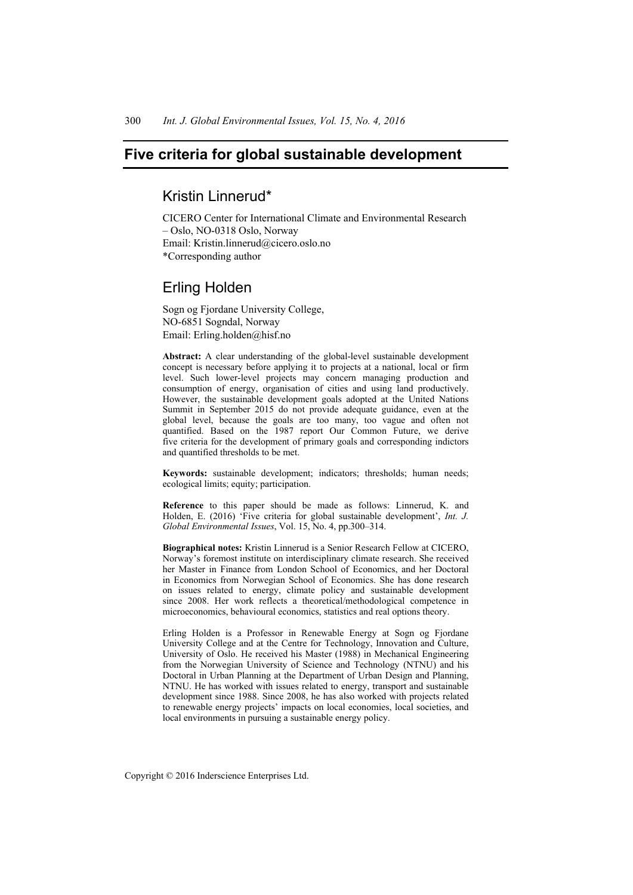# **Five criteria for global sustainable development**

# Kristin Linnerud\*

CICERO Center for International Climate and Environmental Research – Oslo, NO-0318 Oslo, Norway Email: Kristin.linnerud@cicero.oslo.no \*Corresponding author

## Erling Holden

Sogn og Fjordane University College, NO-6851 Sogndal, Norway Email: Erling.holden@hisf.no

**Abstract:** A clear understanding of the global-level sustainable development concept is necessary before applying it to projects at a national, local or firm level. Such lower-level projects may concern managing production and consumption of energy, organisation of cities and using land productively. However, the sustainable development goals adopted at the United Nations Summit in September 2015 do not provide adequate guidance, even at the global level, because the goals are too many, too vague and often not quantified. Based on the 1987 report Our Common Future, we derive five criteria for the development of primary goals and corresponding indictors and quantified thresholds to be met.

**Keywords:** sustainable development; indicators; thresholds; human needs; ecological limits; equity; participation.

**Reference** to this paper should be made as follows: Linnerud, K. and Holden, E. (2016) 'Five criteria for global sustainable development', *Int. J. Global Environmental Issues*, Vol. 15, No. 4, pp.300–314.

**Biographical notes:** Kristin Linnerud is a Senior Research Fellow at CICERO, Norway's foremost institute on interdisciplinary climate research. She received her Master in Finance from London School of Economics, and her Doctoral in Economics from Norwegian School of Economics. She has done research on issues related to energy, climate policy and sustainable development since 2008. Her work reflects a theoretical/methodological competence in microeconomics, behavioural economics, statistics and real options theory.

Erling Holden is a Professor in Renewable Energy at Sogn og Fjordane University College and at the Centre for Technology, Innovation and Culture, University of Oslo. He received his Master (1988) in Mechanical Engineering from the Norwegian University of Science and Technology (NTNU) and his Doctoral in Urban Planning at the Department of Urban Design and Planning, NTNU. He has worked with issues related to energy, transport and sustainable development since 1988. Since 2008, he has also worked with projects related to renewable energy projects' impacts on local economies, local societies, and local environments in pursuing a sustainable energy policy.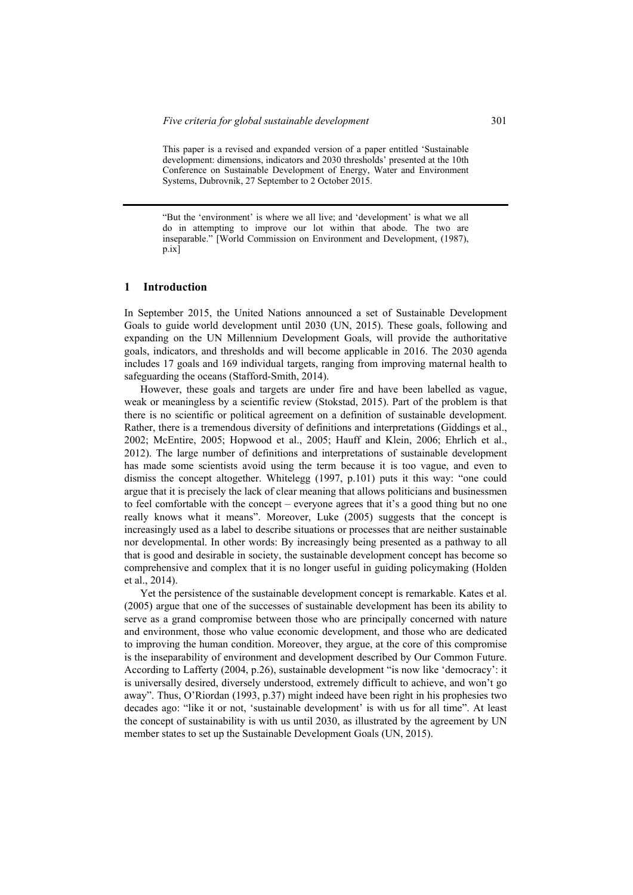This paper is a revised and expanded version of a paper entitled 'Sustainable development: dimensions, indicators and 2030 thresholds' presented at the 10th Conference on Sustainable Development of Energy, Water and Environment Systems, Dubrovnik, 27 September to 2 October 2015.

"But the 'environment' is where we all live; and 'development' is what we all do in attempting to improve our lot within that abode. The two are inseparable." [World Commission on Environment and Development, (1987), p.ix]

### **1 Introduction**

In September 2015, the United Nations announced a set of Sustainable Development Goals to guide world development until 2030 (UN, 2015). These goals, following and expanding on the UN Millennium Development Goals, will provide the authoritative goals, indicators, and thresholds and will become applicable in 2016. The 2030 agenda includes 17 goals and 169 individual targets, ranging from improving maternal health to safeguarding the oceans (Stafford-Smith, 2014).

However, these goals and targets are under fire and have been labelled as vague, weak or meaningless by a scientific review (Stokstad, 2015). Part of the problem is that there is no scientific or political agreement on a definition of sustainable development. Rather, there is a tremendous diversity of definitions and interpretations (Giddings et al., 2002; McEntire, 2005; Hopwood et al., 2005; Hauff and Klein, 2006; Ehrlich et al., 2012). The large number of definitions and interpretations of sustainable development has made some scientists avoid using the term because it is too vague, and even to dismiss the concept altogether. Whitelegg (1997, p.101) puts it this way: "one could argue that it is precisely the lack of clear meaning that allows politicians and businessmen to feel comfortable with the concept – everyone agrees that it's a good thing but no one really knows what it means". Moreover, Luke (2005) suggests that the concept is increasingly used as a label to describe situations or processes that are neither sustainable nor developmental. In other words: By increasingly being presented as a pathway to all that is good and desirable in society, the sustainable development concept has become so comprehensive and complex that it is no longer useful in guiding policymaking (Holden et al., 2014).

Yet the persistence of the sustainable development concept is remarkable. Kates et al. (2005) argue that one of the successes of sustainable development has been its ability to serve as a grand compromise between those who are principally concerned with nature and environment, those who value economic development, and those who are dedicated to improving the human condition. Moreover, they argue, at the core of this compromise is the inseparability of environment and development described by Our Common Future. According to Lafferty (2004, p.26), sustainable development "is now like 'democracy': it is universally desired, diversely understood, extremely difficult to achieve, and won't go away". Thus, O'Riordan (1993, p.37) might indeed have been right in his prophesies two decades ago: "like it or not, 'sustainable development' is with us for all time". At least the concept of sustainability is with us until 2030, as illustrated by the agreement by UN member states to set up the Sustainable Development Goals (UN, 2015).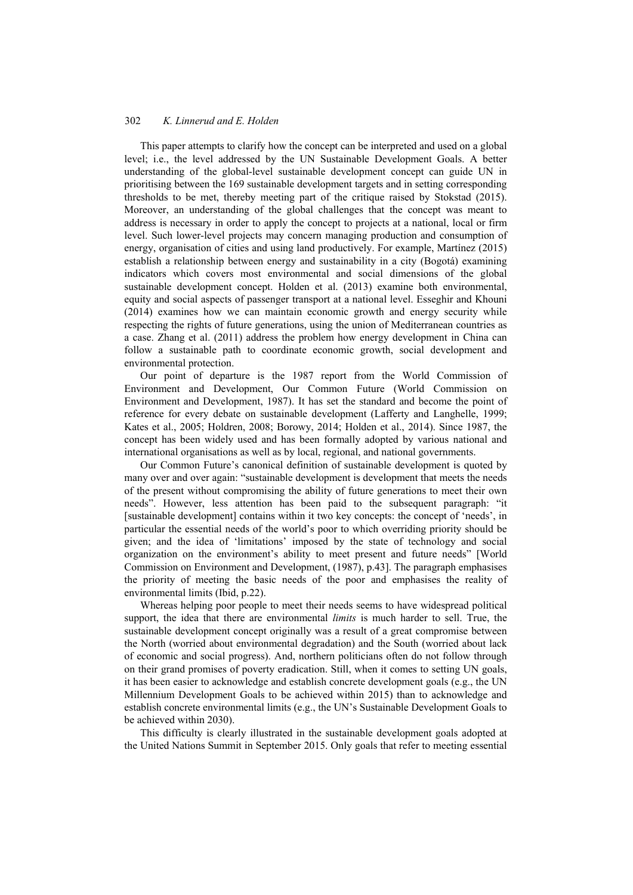This paper attempts to clarify how the concept can be interpreted and used on a global level; i.e., the level addressed by the UN Sustainable Development Goals. A better understanding of the global-level sustainable development concept can guide UN in prioritising between the 169 sustainable development targets and in setting corresponding thresholds to be met, thereby meeting part of the critique raised by Stokstad (2015). Moreover, an understanding of the global challenges that the concept was meant to address is necessary in order to apply the concept to projects at a national, local or firm level. Such lower-level projects may concern managing production and consumption of energy, organisation of cities and using land productively. For example, Martínez (2015) establish a relationship between energy and sustainability in a city (Bogotá) examining indicators which covers most environmental and social dimensions of the global sustainable development concept. Holden et al. (2013) examine both environmental, equity and social aspects of passenger transport at a national level. Esseghir and Khouni (2014) examines how we can maintain economic growth and energy security while respecting the rights of future generations, using the union of Mediterranean countries as a case. Zhang et al. (2011) address the problem how energy development in China can follow a sustainable path to coordinate economic growth, social development and environmental protection.

Our point of departure is the 1987 report from the World Commission of Environment and Development, Our Common Future (World Commission on Environment and Development, 1987). It has set the standard and become the point of reference for every debate on sustainable development (Lafferty and Langhelle, 1999; Kates et al., 2005; Holdren, 2008; Borowy, 2014; Holden et al., 2014). Since 1987, the concept has been widely used and has been formally adopted by various national and international organisations as well as by local, regional, and national governments.

Our Common Future's canonical definition of sustainable development is quoted by many over and over again: "sustainable development is development that meets the needs of the present without compromising the ability of future generations to meet their own needs". However, less attention has been paid to the subsequent paragraph: "it [sustainable development] contains within it two key concepts: the concept of 'needs', in particular the essential needs of the world's poor to which overriding priority should be given; and the idea of 'limitations' imposed by the state of technology and social organization on the environment's ability to meet present and future needs" [World Commission on Environment and Development, (1987), p.43]. The paragraph emphasises the priority of meeting the basic needs of the poor and emphasises the reality of environmental limits (Ibid, p.22).

Whereas helping poor people to meet their needs seems to have widespread political support, the idea that there are environmental *limits* is much harder to sell. True, the sustainable development concept originally was a result of a great compromise between the North (worried about environmental degradation) and the South (worried about lack of economic and social progress). And, northern politicians often do not follow through on their grand promises of poverty eradication. Still, when it comes to setting UN goals, it has been easier to acknowledge and establish concrete development goals (e.g., the UN Millennium Development Goals to be achieved within 2015) than to acknowledge and establish concrete environmental limits (e.g., the UN's Sustainable Development Goals to be achieved within 2030).

This difficulty is clearly illustrated in the sustainable development goals adopted at the United Nations Summit in September 2015. Only goals that refer to meeting essential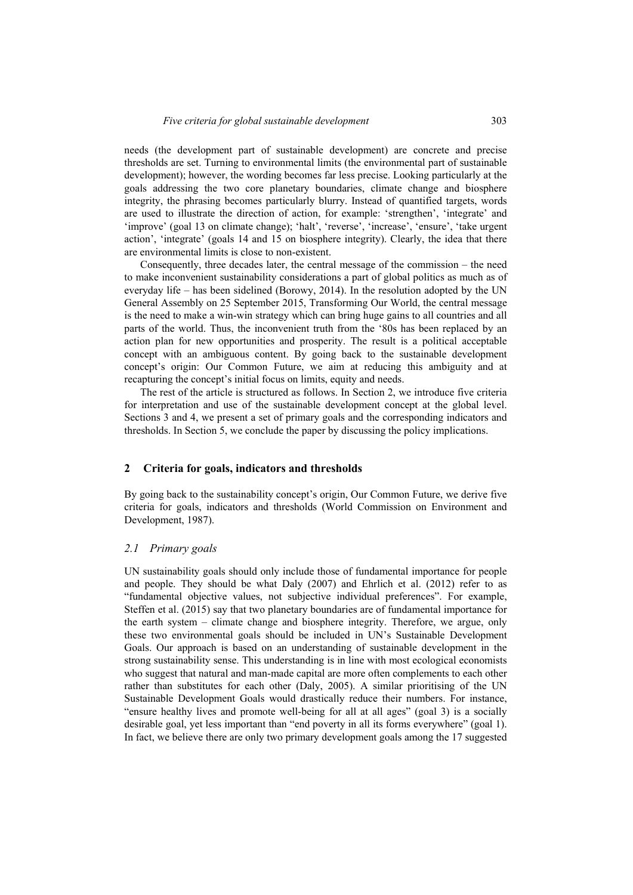needs (the development part of sustainable development) are concrete and precise thresholds are set. Turning to environmental limits (the environmental part of sustainable development); however, the wording becomes far less precise. Looking particularly at the goals addressing the two core planetary boundaries, climate change and biosphere integrity, the phrasing becomes particularly blurry. Instead of quantified targets, words are used to illustrate the direction of action, for example: 'strengthen', 'integrate' and 'improve' (goal 13 on climate change); 'halt', 'reverse', 'increase', 'ensure', 'take urgent action', 'integrate' (goals 14 and 15 on biosphere integrity). Clearly, the idea that there are environmental limits is close to non-existent.

Consequently, three decades later, the central message of the commission – the need to make inconvenient sustainability considerations a part of global politics as much as of everyday life – has been sidelined (Borowy, 2014). In the resolution adopted by the UN General Assembly on 25 September 2015, Transforming Our World, the central message is the need to make a win-win strategy which can bring huge gains to all countries and all parts of the world. Thus, the inconvenient truth from the '80s has been replaced by an action plan for new opportunities and prosperity. The result is a political acceptable concept with an ambiguous content. By going back to the sustainable development concept's origin: Our Common Future, we aim at reducing this ambiguity and at recapturing the concept's initial focus on limits, equity and needs.

The rest of the article is structured as follows. In Section 2, we introduce five criteria for interpretation and use of the sustainable development concept at the global level. Sections 3 and 4, we present a set of primary goals and the corresponding indicators and thresholds. In Section 5, we conclude the paper by discussing the policy implications.

#### **2 Criteria for goals, indicators and thresholds**

By going back to the sustainability concept's origin, Our Common Future, we derive five criteria for goals, indicators and thresholds (World Commission on Environment and Development, 1987).

#### *2.1 Primary goals*

UN sustainability goals should only include those of fundamental importance for people and people. They should be what Daly (2007) and Ehrlich et al. (2012) refer to as "fundamental objective values, not subjective individual preferences". For example, Steffen et al. (2015) say that two planetary boundaries are of fundamental importance for the earth system – climate change and biosphere integrity. Therefore, we argue, only these two environmental goals should be included in UN's Sustainable Development Goals. Our approach is based on an understanding of sustainable development in the strong sustainability sense. This understanding is in line with most ecological economists who suggest that natural and man-made capital are more often complements to each other rather than substitutes for each other (Daly, 2005). A similar prioritising of the UN Sustainable Development Goals would drastically reduce their numbers. For instance, "ensure healthy lives and promote well-being for all at all ages" (goal 3) is a socially desirable goal, yet less important than "end poverty in all its forms everywhere" (goal 1). In fact, we believe there are only two primary development goals among the 17 suggested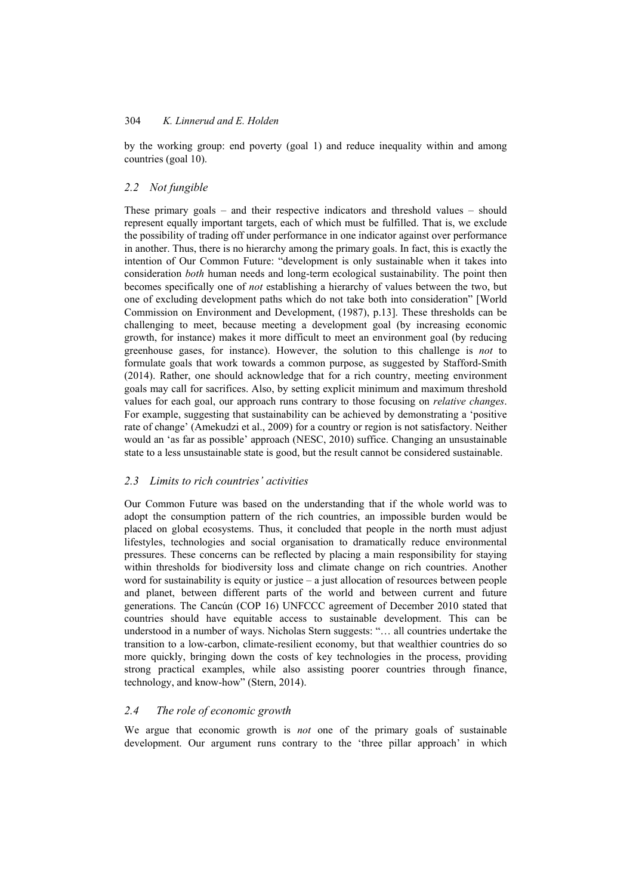by the working group: end poverty (goal 1) and reduce inequality within and among countries (goal 10).

#### *2.2 Not fungible*

These primary goals – and their respective indicators and threshold values – should represent equally important targets, each of which must be fulfilled. That is, we exclude the possibility of trading off under performance in one indicator against over performance in another. Thus, there is no hierarchy among the primary goals. In fact, this is exactly the intention of Our Common Future: "development is only sustainable when it takes into consideration *both* human needs and long-term ecological sustainability. The point then becomes specifically one of *not* establishing a hierarchy of values between the two, but one of excluding development paths which do not take both into consideration" [World Commission on Environment and Development, (1987), p.13]. These thresholds can be challenging to meet, because meeting a development goal (by increasing economic growth, for instance) makes it more difficult to meet an environment goal (by reducing greenhouse gases, for instance). However, the solution to this challenge is *not* to formulate goals that work towards a common purpose, as suggested by Stafford-Smith (2014). Rather, one should acknowledge that for a rich country, meeting environment goals may call for sacrifices. Also, by setting explicit minimum and maximum threshold values for each goal, our approach runs contrary to those focusing on *relative changes*. For example, suggesting that sustainability can be achieved by demonstrating a 'positive rate of change' (Amekudzi et al., 2009) for a country or region is not satisfactory. Neither would an 'as far as possible' approach (NESC, 2010) suffice. Changing an unsustainable state to a less unsustainable state is good, but the result cannot be considered sustainable.

#### *2.3 Limits to rich countries' activities*

Our Common Future was based on the understanding that if the whole world was to adopt the consumption pattern of the rich countries, an impossible burden would be placed on global ecosystems. Thus, it concluded that people in the north must adjust lifestyles, technologies and social organisation to dramatically reduce environmental pressures. These concerns can be reflected by placing a main responsibility for staying within thresholds for biodiversity loss and climate change on rich countries. Another word for sustainability is equity or justice – a just allocation of resources between people and planet, between different parts of the world and between current and future generations. The Cancún (COP 16) UNFCCC agreement of December 2010 stated that countries should have equitable access to sustainable development. This can be understood in a number of ways. Nicholas Stern suggests: "… all countries undertake the transition to a low-carbon, climate-resilient economy, but that wealthier countries do so more quickly, bringing down the costs of key technologies in the process, providing strong practical examples, while also assisting poorer countries through finance, technology, and know-how" (Stern, 2014).

### *2.4 The role of economic growth*

We argue that economic growth is *not* one of the primary goals of sustainable development. Our argument runs contrary to the 'three pillar approach' in which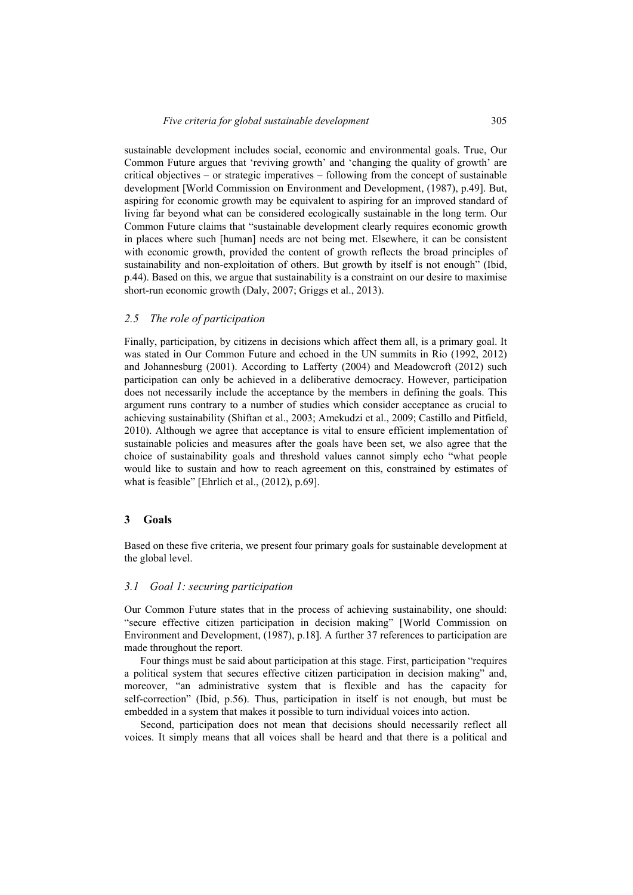sustainable development includes social, economic and environmental goals. True, Our Common Future argues that 'reviving growth' and 'changing the quality of growth' are critical objectives – or strategic imperatives – following from the concept of sustainable development [World Commission on Environment and Development, (1987), p.49]. But, aspiring for economic growth may be equivalent to aspiring for an improved standard of living far beyond what can be considered ecologically sustainable in the long term. Our Common Future claims that "sustainable development clearly requires economic growth in places where such [human] needs are not being met. Elsewhere, it can be consistent with economic growth, provided the content of growth reflects the broad principles of sustainability and non-exploitation of others. But growth by itself is not enough" (Ibid, p.44). Based on this, we argue that sustainability is a constraint on our desire to maximise short-run economic growth (Daly, 2007; Griggs et al., 2013).

#### *2.5 The role of participation*

Finally, participation, by citizens in decisions which affect them all, is a primary goal. It was stated in Our Common Future and echoed in the UN summits in Rio (1992, 2012) and Johannesburg (2001). According to Lafferty (2004) and Meadowcroft (2012) such participation can only be achieved in a deliberative democracy. However, participation does not necessarily include the acceptance by the members in defining the goals. This argument runs contrary to a number of studies which consider acceptance as crucial to achieving sustainability (Shiftan et al., 2003; Amekudzi et al., 2009; Castillo and Pitfield, 2010). Although we agree that acceptance is vital to ensure efficient implementation of sustainable policies and measures after the goals have been set, we also agree that the choice of sustainability goals and threshold values cannot simply echo "what people would like to sustain and how to reach agreement on this, constrained by estimates of what is feasible" [Ehrlich et al., (2012), p.69].

## **3 Goals**

Based on these five criteria, we present four primary goals for sustainable development at the global level.

#### *3.1 Goal 1: securing participation*

Our Common Future states that in the process of achieving sustainability, one should: "secure effective citizen participation in decision making" [World Commission on Environment and Development, (1987), p.18]. A further 37 references to participation are made throughout the report.

Four things must be said about participation at this stage. First, participation "requires a political system that secures effective citizen participation in decision making" and, moreover, "an administrative system that is flexible and has the capacity for self-correction" (Ibid, p.56). Thus, participation in itself is not enough, but must be embedded in a system that makes it possible to turn individual voices into action.

Second, participation does not mean that decisions should necessarily reflect all voices. It simply means that all voices shall be heard and that there is a political and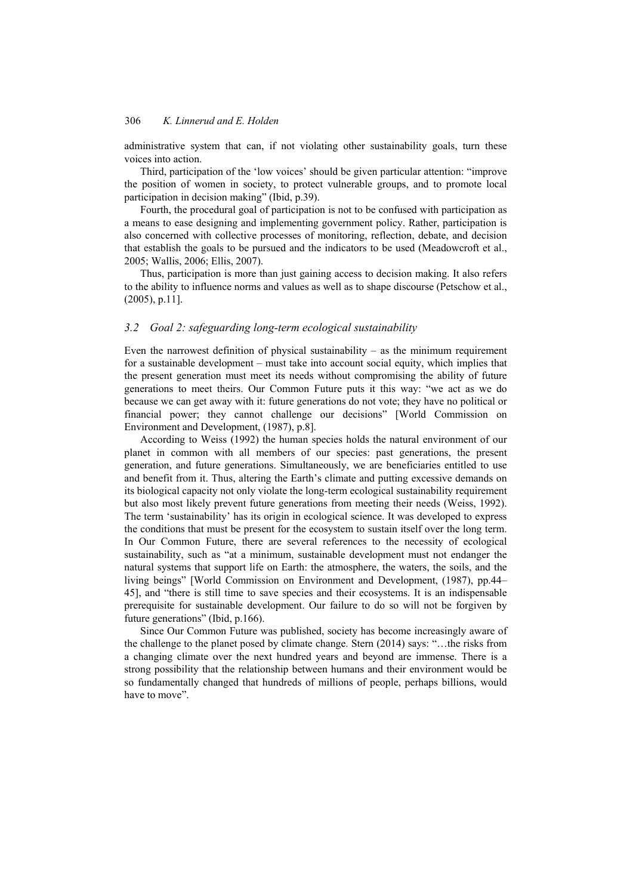administrative system that can, if not violating other sustainability goals, turn these voices into action.

Third, participation of the 'low voices' should be given particular attention: "improve the position of women in society, to protect vulnerable groups, and to promote local participation in decision making" (Ibid, p.39).

Fourth, the procedural goal of participation is not to be confused with participation as a means to ease designing and implementing government policy. Rather, participation is also concerned with collective processes of monitoring, reflection, debate, and decision that establish the goals to be pursued and the indicators to be used (Meadowcroft et al., 2005; Wallis, 2006; Ellis, 2007).

Thus, participation is more than just gaining access to decision making. It also refers to the ability to influence norms and values as well as to shape discourse (Petschow et al., (2005), p.11].

#### *3.2 Goal 2: safeguarding long-term ecological sustainability*

Even the narrowest definition of physical sustainability – as the minimum requirement for a sustainable development – must take into account social equity, which implies that the present generation must meet its needs without compromising the ability of future generations to meet theirs. Our Common Future puts it this way: "we act as we do because we can get away with it: future generations do not vote; they have no political or financial power; they cannot challenge our decisions" [World Commission on Environment and Development, (1987), p.8].

According to Weiss (1992) the human species holds the natural environment of our planet in common with all members of our species: past generations, the present generation, and future generations. Simultaneously, we are beneficiaries entitled to use and benefit from it. Thus, altering the Earth's climate and putting excessive demands on its biological capacity not only violate the long-term ecological sustainability requirement but also most likely prevent future generations from meeting their needs (Weiss, 1992). The term 'sustainability' has its origin in ecological science. It was developed to express the conditions that must be present for the ecosystem to sustain itself over the long term. In Our Common Future, there are several references to the necessity of ecological sustainability, such as "at a minimum, sustainable development must not endanger the natural systems that support life on Earth: the atmosphere, the waters, the soils, and the living beings" [World Commission on Environment and Development, (1987), pp.44– 45], and "there is still time to save species and their ecosystems. It is an indispensable prerequisite for sustainable development. Our failure to do so will not be forgiven by future generations" (Ibid, p.166).

Since Our Common Future was published, society has become increasingly aware of the challenge to the planet posed by climate change. Stern (2014) says: "…the risks from a changing climate over the next hundred years and beyond are immense. There is a strong possibility that the relationship between humans and their environment would be so fundamentally changed that hundreds of millions of people, perhaps billions, would have to move".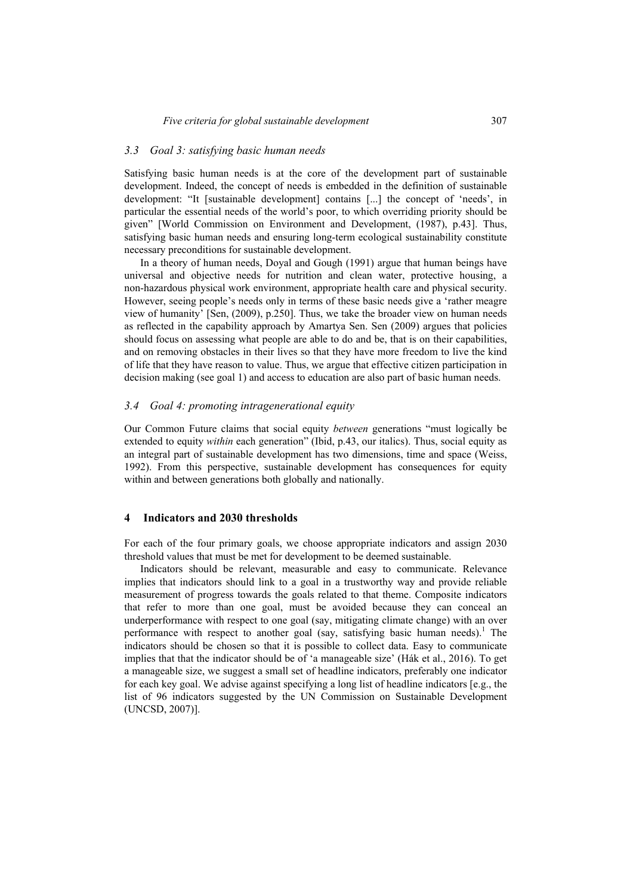#### *3.3 Goal 3: satisfying basic human needs*

Satisfying basic human needs is at the core of the development part of sustainable development. Indeed, the concept of needs is embedded in the definition of sustainable development: "It [sustainable development] contains [...] the concept of 'needs', in particular the essential needs of the world's poor, to which overriding priority should be given" [World Commission on Environment and Development, (1987), p.43]. Thus, satisfying basic human needs and ensuring long-term ecological sustainability constitute necessary preconditions for sustainable development.

In a theory of human needs, Doyal and Gough (1991) argue that human beings have universal and objective needs for nutrition and clean water, protective housing, a non-hazardous physical work environment, appropriate health care and physical security. However, seeing people's needs only in terms of these basic needs give a 'rather meagre view of humanity' [Sen, (2009), p.250]. Thus, we take the broader view on human needs as reflected in the capability approach by Amartya Sen. Sen (2009) argues that policies should focus on assessing what people are able to do and be, that is on their capabilities, and on removing obstacles in their lives so that they have more freedom to live the kind of life that they have reason to value. Thus, we argue that effective citizen participation in decision making (see goal 1) and access to education are also part of basic human needs.

## *3.4 Goal 4: promoting intragenerational equity*

Our Common Future claims that social equity *between* generations "must logically be extended to equity *within* each generation" (Ibid, p.43, our italics). Thus, social equity as an integral part of sustainable development has two dimensions, time and space (Weiss, 1992). From this perspective, sustainable development has consequences for equity within and between generations both globally and nationally.

## **4 Indicators and 2030 thresholds**

For each of the four primary goals, we choose appropriate indicators and assign 2030 threshold values that must be met for development to be deemed sustainable.

Indicators should be relevant, measurable and easy to communicate. Relevance implies that indicators should link to a goal in a trustworthy way and provide reliable measurement of progress towards the goals related to that theme. Composite indicators that refer to more than one goal, must be avoided because they can conceal an underperformance with respect to one goal (say, mitigating climate change) with an over performance with respect to another goal (say, satisfying basic human needs).<sup>1</sup> The indicators should be chosen so that it is possible to collect data. Easy to communicate implies that that the indicator should be of 'a manageable size' (Hák et al., 2016). To get a manageable size, we suggest a small set of headline indicators, preferably one indicator for each key goal. We advise against specifying a long list of headline indicators [e.g., the list of 96 indicators suggested by the UN Commission on Sustainable Development (UNCSD, 2007)].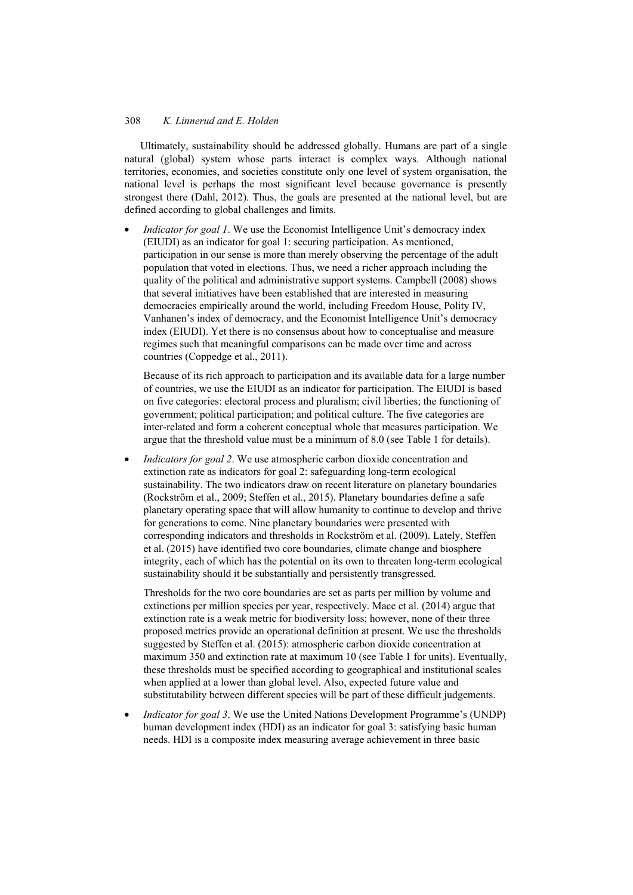Ultimately, sustainability should be addressed globally. Humans are part of a single natural (global) system whose parts interact is complex ways. Although national territories, economies, and societies constitute only one level of system organisation, the national level is perhaps the most significant level because governance is presently strongest there (Dahl, 2012). Thus, the goals are presented at the national level, but are defined according to global challenges and limits.

• *Indicator for goal 1*. We use the Economist Intelligence Unit's democracy index (EIUDI) as an indicator for goal 1: securing participation. As mentioned, participation in our sense is more than merely observing the percentage of the adult population that voted in elections. Thus, we need a richer approach including the quality of the political and administrative support systems. Campbell (2008) shows that several initiatives have been established that are interested in measuring democracies empirically around the world, including Freedom House, Polity IV, Vanhanen's index of democracy, and the Economist Intelligence Unit's democracy index (EIUDI). Yet there is no consensus about how to conceptualise and measure regimes such that meaningful comparisons can be made over time and across countries (Coppedge et al., 2011).

Because of its rich approach to participation and its available data for a large number of countries, we use the EIUDI as an indicator for participation. The EIUDI is based on five categories: electoral process and pluralism; civil liberties; the functioning of government; political participation; and political culture. The five categories are inter-related and form a coherent conceptual whole that measures participation. We argue that the threshold value must be a minimum of 8.0 (see Table 1 for details).

• *Indicators for goal 2*. We use atmospheric carbon dioxide concentration and extinction rate as indicators for goal 2: safeguarding long-term ecological sustainability. The two indicators draw on recent literature on planetary boundaries (Rockström et al., 2009; Steffen et al., 2015). Planetary boundaries define a safe planetary operating space that will allow humanity to continue to develop and thrive for generations to come. Nine planetary boundaries were presented with corresponding indicators and thresholds in Rockström et al. (2009). Lately, Steffen et al. (2015) have identified two core boundaries, climate change and biosphere integrity, each of which has the potential on its own to threaten long-term ecological sustainability should it be substantially and persistently transgressed.

Thresholds for the two core boundaries are set as parts per million by volume and extinctions per million species per year, respectively. Mace et al. (2014) argue that extinction rate is a weak metric for biodiversity loss; however, none of their three proposed metrics provide an operational definition at present. We use the thresholds suggested by Steffen et al. (2015): atmospheric carbon dioxide concentration at maximum 350 and extinction rate at maximum 10 (see Table 1 for units). Eventually, these thresholds must be specified according to geographical and institutional scales when applied at a lower than global level. Also, expected future value and substitutability between different species will be part of these difficult judgements.

• *Indicator for goal 3*. We use the United Nations Development Programme's (UNDP) human development index (HDI) as an indicator for goal 3: satisfying basic human needs. HDI is a composite index measuring average achievement in three basic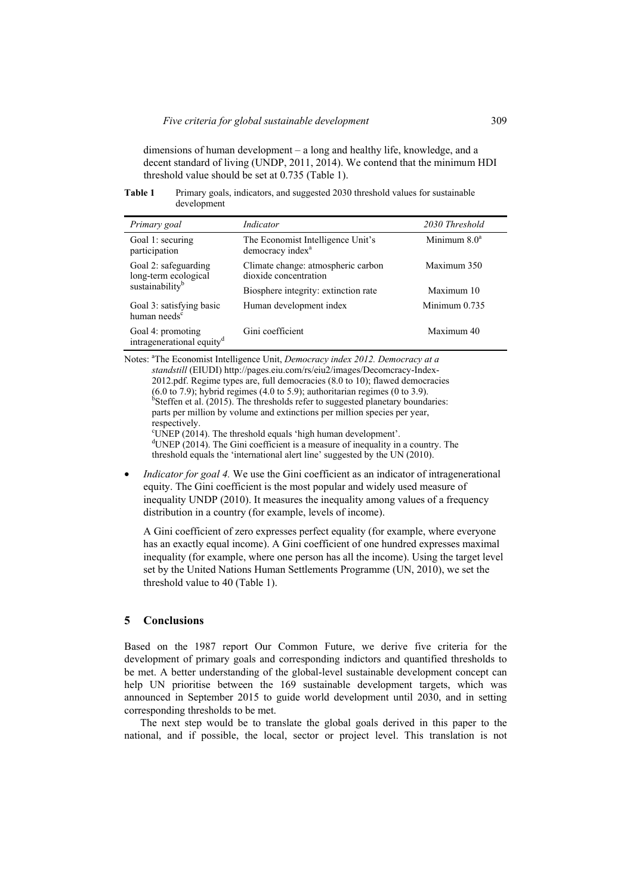dimensions of human development – a long and healthy life, knowledge, and a decent standard of living (UNDP, 2011, 2014). We contend that the minimum HDI threshold value should be set at 0.735 (Table 1).

**Table 1** Primary goals, indicators, and suggested 2030 threshold values for sustainable development

| Primary goal                                                                | Indicator                                                         | 2030 Threshold  |
|-----------------------------------------------------------------------------|-------------------------------------------------------------------|-----------------|
| Goal 1: securing<br>participation                                           | The Economist Intelligence Unit's<br>democracy index <sup>a</sup> | Minimum $8.0^a$ |
| Goal 2: safeguarding<br>long-term ecological<br>sustainability <sup>b</sup> | Climate change: atmospheric carbon<br>dioxide concentration       | Maximum 350     |
|                                                                             | Biosphere integrity: extinction rate                              | Maximum 10      |
| Goal 3: satisfying basic<br>human needs <sup>c</sup>                        | Human development index                                           | Minimum $0.735$ |
| Goal 4: promoting<br>intragenerational equity <sup>d</sup>                  | Gini coefficient                                                  | Maximum 40      |

Notes: <sup>a</sup>The Economist Intelligence Unit, *Democracy index 2012. Democracy at a standstill* (EIUDI) http://pages.eiu.com/rs/eiu2/images/Decomcracy-Index-2012.pdf. Regime types are, full democracies (8.0 to 10); flawed democracies  $(6.0 \text{ to } 7.9)$ ; hybrid regimes  $(4.0 \text{ to } 5.9)$ ; authoritarian regimes  $(0 \text{ to } 3.9)$ .  $6$ Steffen et al. (2015). The thresholds refer to suggested planetary boundaries: parts per million by volume and extinctions per million species per year, respectively. UNEP (2014). The threshold equals 'high human development'.<br> $d\text{I NED } (2014)$ . The Gini seefficient is a measure of inequality in <sup>d</sup>UNEP (2014). The Gini coefficient is a measure of inequality in a country. The threshold equals the 'international alert line' suggested by the UN (2010).

*Indicator for goal 4.* We use the Gini coefficient as an indicator of intragenerational equity. The Gini coefficient is the most popular and widely used measure of inequality UNDP (2010). It measures the inequality among values of a frequency distribution in a country (for example, levels of income).

A Gini coefficient of zero expresses perfect equality (for example, where everyone has an exactly equal income). A Gini coefficient of one hundred expresses maximal inequality (for example, where one person has all the income). Using the target level set by the United Nations Human Settlements Programme (UN, 2010), we set the threshold value to 40 (Table 1).

## **5 Conclusions**

Based on the 1987 report Our Common Future, we derive five criteria for the development of primary goals and corresponding indictors and quantified thresholds to be met. A better understanding of the global-level sustainable development concept can help UN prioritise between the 169 sustainable development targets, which was announced in September 2015 to guide world development until 2030, and in setting corresponding thresholds to be met.

The next step would be to translate the global goals derived in this paper to the national, and if possible, the local, sector or project level. This translation is not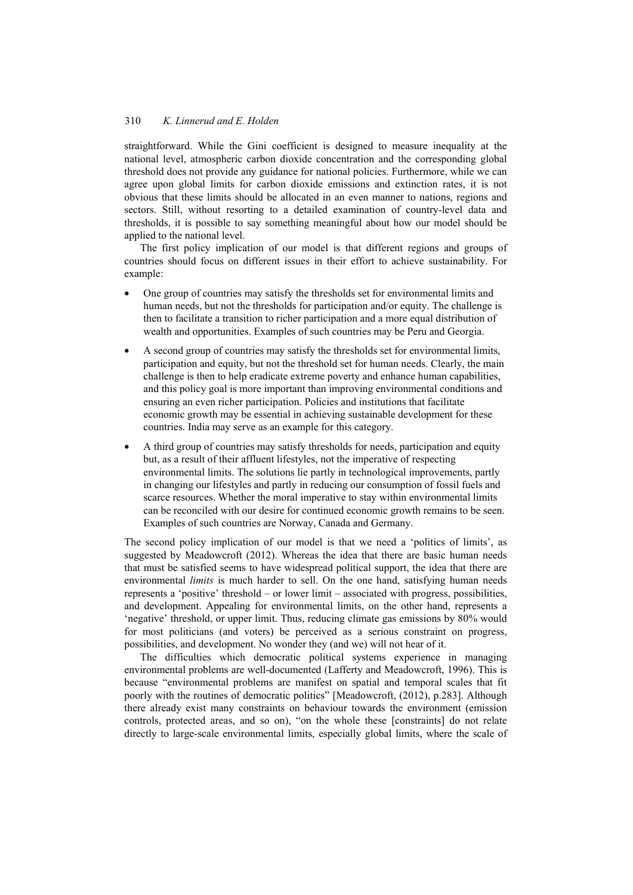straightforward. While the Gini coefficient is designed to measure inequality at the national level, atmospheric carbon dioxide concentration and the corresponding global threshold does not provide any guidance for national policies. Furthermore, while we can agree upon global limits for carbon dioxide emissions and extinction rates, it is not obvious that these limits should be allocated in an even manner to nations, regions and sectors. Still, without resorting to a detailed examination of country-level data and thresholds, it is possible to say something meaningful about how our model should be applied to the national level.

The first policy implication of our model is that different regions and groups of countries should focus on different issues in their effort to achieve sustainability. For example:

- One group of countries may satisfy the thresholds set for environmental limits and human needs, but not the thresholds for participation and/or equity. The challenge is then to facilitate a transition to richer participation and a more equal distribution of wealth and opportunities. Examples of such countries may be Peru and Georgia.
- A second group of countries may satisfy the thresholds set for environmental limits, participation and equity, but not the threshold set for human needs. Clearly, the main challenge is then to help eradicate extreme poverty and enhance human capabilities, and this policy goal is more important than improving environmental conditions and ensuring an even richer participation. Policies and institutions that facilitate economic growth may be essential in achieving sustainable development for these countries. India may serve as an example for this category.
- A third group of countries may satisfy thresholds for needs, participation and equity but, as a result of their affluent lifestyles, not the imperative of respecting environmental limits. The solutions lie partly in technological improvements, partly in changing our lifestyles and partly in reducing our consumption of fossil fuels and scarce resources. Whether the moral imperative to stay within environmental limits can be reconciled with our desire for continued economic growth remains to be seen. Examples of such countries are Norway, Canada and Germany.

The second policy implication of our model is that we need a 'politics of limits', as suggested by Meadowcroft (2012). Whereas the idea that there are basic human needs that must be satisfied seems to have widespread political support, the idea that there are environmental *limits* is much harder to sell. On the one hand, satisfying human needs represents a 'positive' threshold – or lower limit – associated with progress, possibilities, and development. Appealing for environmental limits, on the other hand, represents a 'negative' threshold, or upper limit. Thus, reducing climate gas emissions by 80% would for most politicians (and voters) be perceived as a serious constraint on progress, possibilities, and development. No wonder they (and we) will not hear of it.

The difficulties which democratic political systems experience in managing environmental problems are well-documented (Lafferty and Meadowcroft, 1996). This is because "environmental problems are manifest on spatial and temporal scales that fit poorly with the routines of democratic politics" [Meadowcroft, (2012), p.283]. Although there already exist many constraints on behaviour towards the environment (emission controls, protected areas, and so on), "on the whole these [constraints] do not relate directly to large-scale environmental limits, especially global limits, where the scale of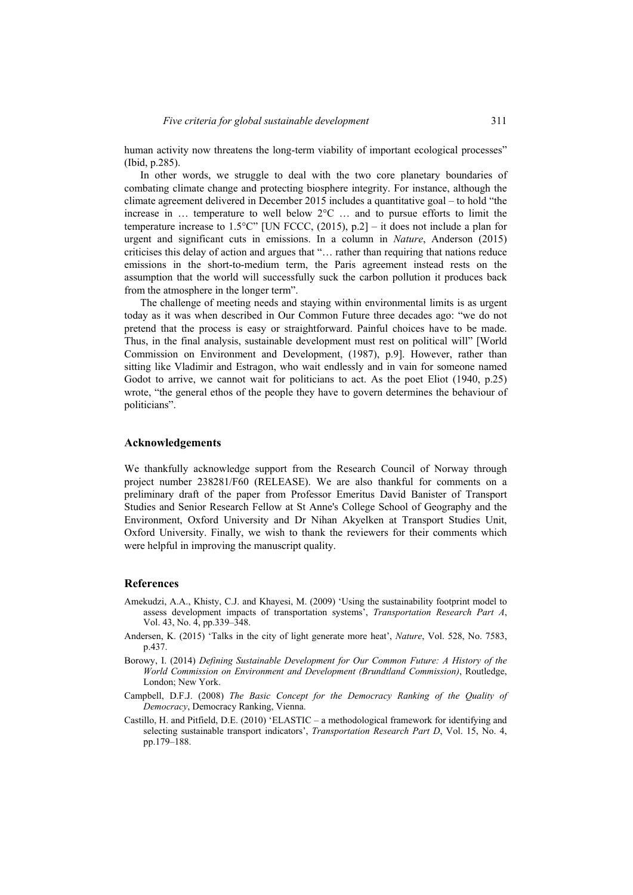human activity now threatens the long-term viability of important ecological processes" (Ibid, p.285).

In other words, we struggle to deal with the two core planetary boundaries of combating climate change and protecting biosphere integrity. For instance, although the climate agreement delivered in December 2015 includes a quantitative goal – to hold "the increase in  $\ldots$  temperature to well below  $2^{\circ}\text{C} \ldots$  and to pursue efforts to limit the temperature increase to 1.5°C" [UN FCCC,  $(2015)$ , p.2] – it does not include a plan for urgent and significant cuts in emissions. In a column in *Nature*, Anderson (2015) criticises this delay of action and argues that "… rather than requiring that nations reduce emissions in the short-to-medium term, the Paris agreement instead rests on the assumption that the world will successfully suck the carbon pollution it produces back from the atmosphere in the longer term".

The challenge of meeting needs and staying within environmental limits is as urgent today as it was when described in Our Common Future three decades ago: "we do not pretend that the process is easy or straightforward. Painful choices have to be made. Thus, in the final analysis, sustainable development must rest on political will" [World Commission on Environment and Development, (1987), p.9]. However, rather than sitting like Vladimir and Estragon, who wait endlessly and in vain for someone named Godot to arrive, we cannot wait for politicians to act. As the poet Eliot (1940, p.25) wrote, "the general ethos of the people they have to govern determines the behaviour of politicians".

#### **Acknowledgements**

We thankfully acknowledge support from the Research Council of Norway through project number 238281/F60 (RELEASE). We are also thankful for comments on a preliminary draft of the paper from Professor Emeritus David Banister of Transport Studies and Senior Research Fellow at St Anne's College School of Geography and the Environment, Oxford University and Dr Nihan Akyelken at Transport Studies Unit, Oxford University. Finally, we wish to thank the reviewers for their comments which were helpful in improving the manuscript quality.

#### **References**

- Amekudzi, A.A., Khisty, C.J. and Khayesi, M. (2009) 'Using the sustainability footprint model to assess development impacts of transportation systems', *Transportation Research Part A*, Vol. 43, No. 4, pp.339–348.
- Andersen, K. (2015) 'Talks in the city of light generate more heat', *Nature*, Vol. 528, No. 7583, p.437.
- Borowy, I. (2014) *Defining Sustainable Development for Our Common Future: A History of the World Commission on Environment and Development (Brundtland Commission)*, Routledge, London; New York.
- Campbell, D.F.J. (2008) *The Basic Concept for the Democracy Ranking of the Quality of Democracy*, Democracy Ranking, Vienna.
- Castillo, H. and Pitfield, D.E. (2010) 'ELASTIC a methodological framework for identifying and selecting sustainable transport indicators', *Transportation Research Part D*, Vol. 15, No. 4, pp.179–188.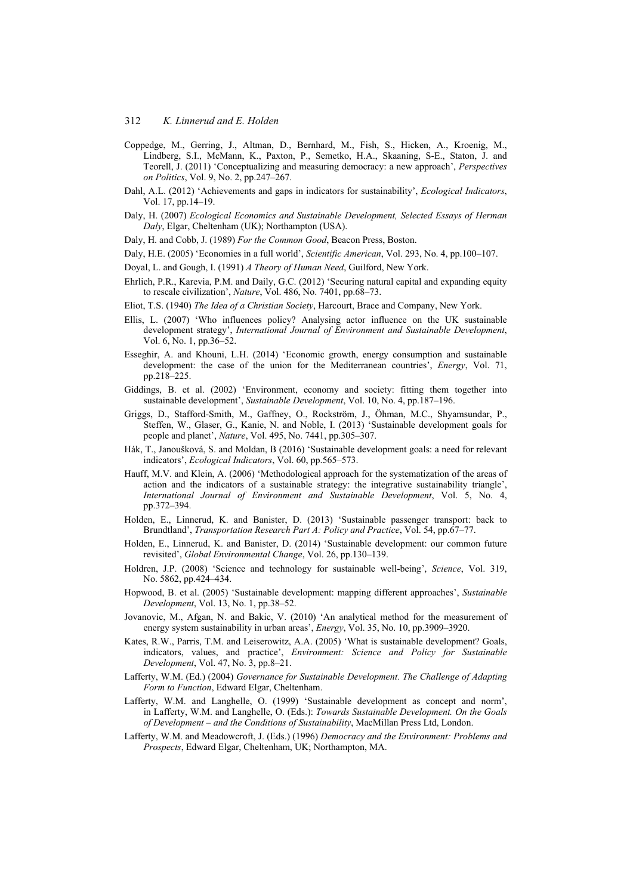- Coppedge, M., Gerring, J., Altman, D., Bernhard, M., Fish, S., Hicken, A., Kroenig, M., Lindberg, S.I., McMann, K., Paxton, P., Semetko, H.A., Skaaning, S-E., Staton, J. and Teorell, J. (2011) 'Conceptualizing and measuring democracy: a new approach', *Perspectives on Politics*, Vol. 9, No. 2, pp.247–267.
- Dahl, A.L. (2012) 'Achievements and gaps in indicators for sustainability', *Ecological Indicators*, Vol. 17, pp.14–19.
- Daly, H. (2007) *Ecological Economics and Sustainable Development, Selected Essays of Herman Daly*, Elgar, Cheltenham (UK); Northampton (USA).
- Daly, H. and Cobb, J. (1989) *For the Common Good*, Beacon Press, Boston.
- Daly, H.E. (2005) 'Economies in a full world', *Scientific American*, Vol. 293, No. 4, pp.100–107.
- Doyal, L. and Gough, I. (1991) *A Theory of Human Need*, Guilford, New York.
- Ehrlich, P.R., Karevia, P.M. and Daily, G.C. (2012) 'Securing natural capital and expanding equity to rescale civilization', *Nature*, Vol. 486, No. 7401, pp.68–73.
- Eliot, T.S. (1940) *The Idea of a Christian Society*, Harcourt, Brace and Company, New York.
- Ellis, L. (2007) 'Who influences policy? Analysing actor influence on the UK sustainable development strategy', *International Journal of Environment and Sustainable Development*, Vol. 6, No. 1, pp.36–52.
- Esseghir, A. and Khouni, L.H. (2014) 'Economic growth, energy consumption and sustainable development: the case of the union for the Mediterranean countries', *Energy*, Vol. 71, pp.218–225.
- Giddings, B. et al. (2002) 'Environment, economy and society: fitting them together into sustainable development', *Sustainable Development*, Vol. 10, No. 4, pp.187–196.
- Griggs, D., Stafford-Smith, M., Gaffney, O., Rockström, J., Öhman, M.C., Shyamsundar, P., Steffen, W., Glaser, G., Kanie, N. and Noble, I. (2013) 'Sustainable development goals for people and planet', *Nature*, Vol. 495, No. 7441, pp.305–307.
- Hák, T., Janoušková, S. and Moldan, B (2016) 'Sustainable development goals: a need for relevant indicators', *Ecological Indicators*, Vol. 60, pp.565–573.
- Hauff, M.V. and Klein, A. (2006) 'Methodological approach for the systematization of the areas of action and the indicators of a sustainable strategy: the integrative sustainability triangle', *International Journal of Environment and Sustainable Development*, Vol. 5, No. 4, pp.372–394.
- Holden, E., Linnerud, K. and Banister, D. (2013) 'Sustainable passenger transport: back to Brundtland', *Transportation Research Part A: Policy and Practice*, Vol. 54, pp.67–77.
- Holden, E., Linnerud, K. and Banister, D. (2014) 'Sustainable development: our common future revisited', *Global Environmental Change*, Vol. 26, pp.130–139.
- Holdren, J.P. (2008) 'Science and technology for sustainable well-being', *Science*, Vol. 319, No. 5862, pp.424–434.
- Hopwood, B. et al. (2005) 'Sustainable development: mapping different approaches', *Sustainable Development*, Vol. 13, No. 1, pp.38–52.
- Jovanovic, M., Afgan, N. and Bakic, V. (2010) 'An analytical method for the measurement of energy system sustainability in urban areas', *Energy*, Vol. 35, No. 10, pp.3909–3920.
- Kates, R.W., Parris, T.M. and Leiserowitz, A.A. (2005) 'What is sustainable development? Goals, indicators, values, and practice', *Environment: Science and Policy for Sustainable Development*, Vol. 47, No. 3, pp.8–21.
- Lafferty, W.M. (Ed.) (2004) *Governance for Sustainable Development. The Challenge of Adapting Form to Function*, Edward Elgar, Cheltenham.
- Lafferty, W.M. and Langhelle, O. (1999) 'Sustainable development as concept and norm', in Lafferty, W.M. and Langhelle, O. (Eds.): *Towards Sustainable Development. On the Goals of Development – and the Conditions of Sustainability*, MacMillan Press Ltd, London.
- Lafferty, W.M. and Meadowcroft, J. (Eds.) (1996) *Democracy and the Environment: Problems and Prospects*, Edward Elgar, Cheltenham, UK; Northampton, MA.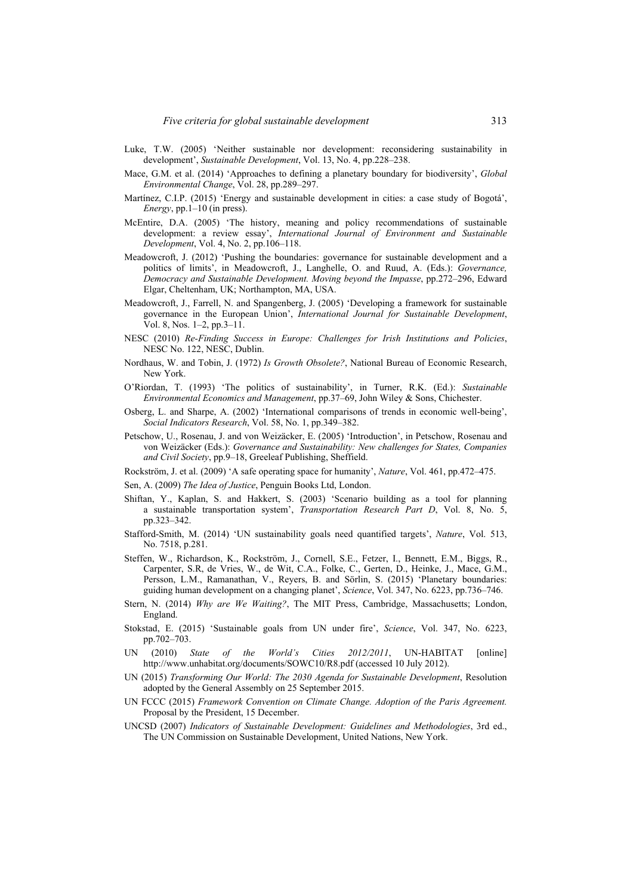- Luke, T.W. (2005) 'Neither sustainable nor development: reconsidering sustainability in development', *Sustainable Development*, Vol. 13, No. 4, pp.228–238.
- Mace, G.M. et al. (2014) 'Approaches to defining a planetary boundary for biodiversity', *Global Environmental Change*, Vol. 28, pp.289–297.
- Martínez, C.I.P. (2015) 'Energy and sustainable development in cities: a case study of Bogotá', *Energy*, pp.1–10 (in press).
- McEntire, D.A. (2005) 'The history, meaning and policy recommendations of sustainable development: a review essay', *International Journal of Environment and Sustainable Development*, Vol. 4, No. 2, pp.106–118.
- Meadowcroft, J. (2012) 'Pushing the boundaries: governance for sustainable development and a politics of limits', in Meadowcroft, J., Langhelle, O. and Ruud, A. (Eds.): *Governance, Democracy and Sustainable Development. Moving beyond the Impasse*, pp.272–296, Edward Elgar, Cheltenham, UK; Northampton, MA, USA.
- Meadowcroft, J., Farrell, N. and Spangenberg, J. (2005) 'Developing a framework for sustainable governance in the European Union', *International Journal for Sustainable Development*, Vol. 8, Nos. 1–2, pp.3–11.
- NESC (2010) *Re-Finding Success in Europe: Challenges for Irish Institutions and Policies*, NESC No. 122, NESC, Dublin.
- Nordhaus, W. and Tobin, J. (1972) *Is Growth Obsolete?*, National Bureau of Economic Research, New York.
- O'Riordan, T. (1993) 'The politics of sustainability', in Turner, R.K. (Ed.): *Sustainable Environmental Economics and Management*, pp.37–69, John Wiley & Sons, Chichester.
- Osberg, L. and Sharpe, A. (2002) 'International comparisons of trends in economic well-being', *Social Indicators Research*, Vol. 58, No. 1, pp.349–382.
- Petschow, U., Rosenau, J. and von Weizäcker, E. (2005) 'Introduction', in Petschow, Rosenau and von Weizäcker (Eds.): *Governance and Sustainability: New challenges for States, Companies and Civil Society*, pp.9–18, Greeleaf Publishing, Sheffield.
- Rockström, J. et al. (2009) 'A safe operating space for humanity', *Nature*, Vol. 461, pp.472–475.
- Sen, A. (2009) *The Idea of Justice*, Penguin Books Ltd, London.
- Shiftan, Y., Kaplan, S. and Hakkert, S. (2003) 'Scenario building as a tool for planning a sustainable transportation system', *Transportation Research Part D*, Vol. 8, No. 5, pp.323–342.
- Stafford-Smith, M. (2014) 'UN sustainability goals need quantified targets', *Nature*, Vol. 513, No. 7518, p.281.
- Steffen, W., Richardson, K., Rockström, J., Cornell, S.E., Fetzer, I., Bennett, E.M., Biggs, R., Carpenter, S.R, de Vries, W., de Wit, C.A., Folke, C., Gerten, D., Heinke, J., Mace, G.M., Persson, L.M., Ramanathan, V., Reyers, B. and Sörlin, S. (2015) 'Planetary boundaries: guiding human development on a changing planet', *Science*, Vol. 347, No. 6223, pp.736–746.
- Stern, N. (2014) *Why are We Waiting?*, The MIT Press, Cambridge, Massachusetts; London, England.
- Stokstad, E. (2015) 'Sustainable goals from UN under fire', *Science*, Vol. 347, No. 6223, pp.702–703.
- UN (2010) *State of the World's Cities 2012/2011*, UN-HABITAT [online] http://www.unhabitat.org/documents/SOWC10/R8.pdf (accessed 10 July 2012).
- UN (2015) *Transforming Our World: The 2030 Agenda for Sustainable Development*, Resolution adopted by the General Assembly on 25 September 2015.
- UN FCCC (2015) *Framework Convention on Climate Change. Adoption of the Paris Agreement.*  Proposal by the President, 15 December.
- UNCSD (2007) *Indicators of Sustainable Development: Guidelines and Methodologies*, 3rd ed., The UN Commission on Sustainable Development, United Nations, New York.